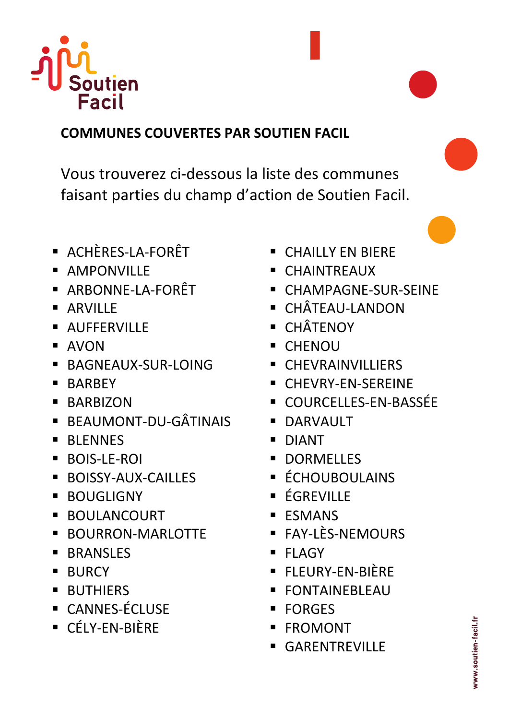

## **COMMUNES COUVERTES PAR SOUTIEN FACIL**

Vous trouverez ci-dessous la liste des communes faisant parties du champ d'action de Soutien Facil.

- § ACHÈRES-LA-FORÊT
- § AMPONVILLE
- § ARBONNE-LA-FORÊT
- ARVILLE
- § AUFFERVILLE
- § AVON
- § BAGNEAUX-SUR-LOING
- § BARBEY
- § BARBIZON
- § BEAUMONT-DU-GÂTINAIS
- BLENNES
- § BOIS-LE-ROI
- § BOISSY-AUX-CAILLES
- BOUGLIGNY
- **BOULANCOURT**
- § BOURRON-MARLOTTE
- BRANSLES
- § BURCY
- BUTHIERS
- § CANNES-ÉCLUSE
- § CÉLY-EN-BIÈRE
- § CHAILLY EN BIERE
- § CHAINTREAUX
- § CHAMPAGNE-SUR-SEINE
- § CHÂTEAU-LANDON
- § CHÂTENOY
- § CHENOU
- § CHEVRAINVILLIERS
- § CHEVRY-EN-SEREINE
- COURCELLES-EN-BASSÉE
- **DARVAULT**
- § DIANT
- DORMELLES
- § ÉCHOUBOULAINS
- ÉGREVILLE
- § ESMANS
- § FAY-LÈS-NEMOURS
- § FLAGY
- § FLEURY-EN-BIÈRE
- § FONTAINEBLEAU
- § FORGES
- § FROMONT
- § GARENTREVILLE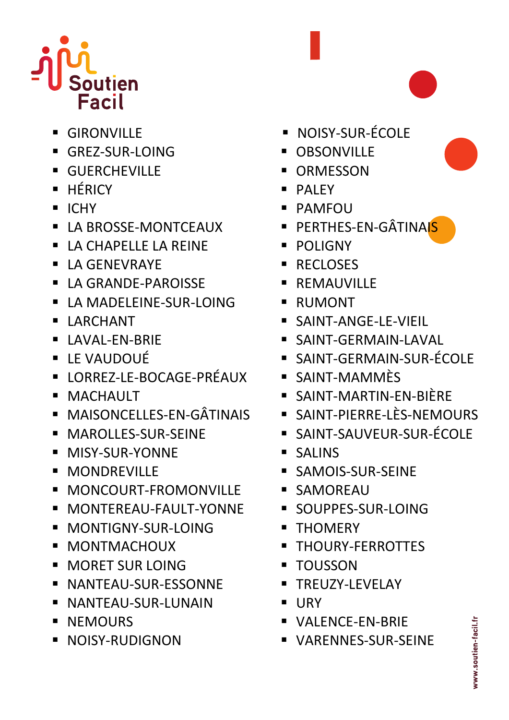

- GIRONVILLE
- § GREZ-SUR-LOING
- § GUERCHEVILLE
- § HÉRICY
- § ICHY
- § LA BROSSE-MONTCEAUX
- § LA CHAPELLE LA REINE
- LA GENEVRAYE
- § LA GRANDE-PAROISSE
- § LA MADELEINE-SUR-LOING
- § LARCHANT
- § LAVAL-EN-BRIE
- § LE VAUDOUÉ
- § LORREZ-LE-BOCAGE-PRÉAUX
- § MACHAULT
- § MAISONCELLES-EN-GÂTINAIS
- **MAROLLES-SUR-SEINE**
- § MISY-SUR-YONNE
- § MONDREVILLE
- **MONCOURT-FROMONVILLE**
- § MONTEREAU-FAULT-YONNE
- § MONTIGNY-SUR-LOING
- **MONTMACHOUX**
- MORET SUR LOING
- § NANTEAU-SUR-ESSONNE
- § NANTEAU-SUR-LUNAIN
- § NEMOURS
- § NOISY-RUDIGNON
- § NOISY-SUR-ÉCOLE
- OBSONVILLE
- ORMESSON
- § PALEY
- § PAMFOU
- PERTHES-EN-GÂTINAIS
- § POLIGNY
- RECLOSES
- REMAUVILLE
- § RUMONT
- § SAINT-ANGE-LE-VIEIL
- § SAINT-GERMAIN-LAVAL
- § SAINT-GERMAIN-SUR-ÉCOLE
- SAINT-MAMMÈS
- SAINT-MARTIN-EN-BIÈRE
- § SAINT-PIERRE-LÈS-NEMOURS
- § SAINT-SAUVEUR-SUR-ÉCOLE
- § SALINS
- § SAMOIS-SUR-SEINE
- § SAMOREAU
- § SOUPPES-SUR-LOING
- THOMERY
- § THOURY-FERROTTES
- TOUSSON
- § TREUZY-LEVELAY
- § URY
- § VALENCE-EN-BRIE
- § VARENNES-SUR-SEINE